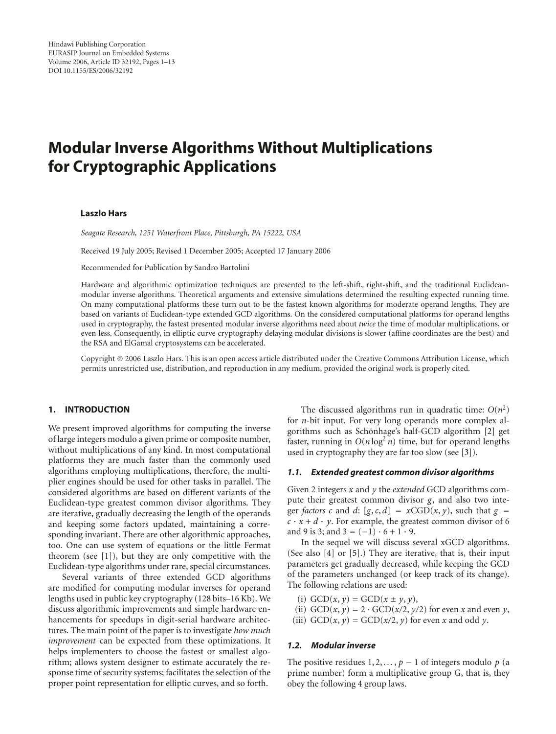# **Modular Inverse Algorithms Without Multiplications for Cryptographic Applications**

## **Laszlo Hars**

*Seagate Research, 1251 Waterfront Place, Pittsburgh, PA 15222, USA*

Received 19 July 2005; Revised 1 December 2005; Accepted 17 January 2006

Recommended for Publication by Sandro Bartolini

Hardware and algorithmic optimization techniques are presented to the left-shift, right-shift, and the traditional Euclideanmodular inverse algorithms. Theoretical arguments and extensive simulations determined the resulting expected running time. On many computational platforms these turn out to be the fastest known algorithms for moderate operand lengths. They are based on variants of Euclidean-type extended GCD algorithms. On the considered computational platforms for operand lengths used in cryptography, the fastest presented modular inverse algorithms need about *twice* the time of modular multiplications, or even less. Consequently, in elliptic curve cryptography delaying modular divisions is slower (affine coordinates are the best) and the RSA and ElGamal cryptosystems can be accelerated.

Copyright © 2006 Laszlo Hars. This is an open access article distributed under the Creative Commons Attribution License, which permits unrestricted use, distribution, and reproduction in any medium, provided the original work is properly cited.

# **1. INTRODUCTION**

We present improved algorithms for computing the inverse of large integers modulo a given prime or composite number, without multiplications of any kind. In most computational platforms they are much faster than the commonly used algorithms employing multiplications, therefore, the multiplier engines should be used for other tasks in parallel. The considered algorithms are based on different variants of the Euclidean-type greatest common divisor algorithms. They are iterative, gradually decreasing the length of the operands and keeping some factors updated, maintaining a corresponding invariant. There are other algorithmic approaches, too. One can use system of equations or the little Fermat theorem (see [\[1\]](#page-11-1)), but they are only competitive with the Euclidean-type algorithms under rare, special circumstances.

Several variants of three extended GCD algorithms are modified for computing modular inverses for operand lengths used in public key cryptography (128 bits–16 Kb). We discuss algorithmic improvements and simple hardware enhancements for speedups in digit-serial hardware architectures. The main point of the paper is to investigate *how much improvement* can be expected from these optimizations. It helps implementers to choose the fastest or smallest algorithm; allows system designer to estimate accurately the response time of security systems; facilitates the selection of the proper point representation for elliptic curves, and so forth.

The discussed algorithms run in quadratic time:  $O(n^2)$ for *n*-bit input. For very long operands more complex al-gorithms such as Schönhage's half-GCD algorithm [[2\]](#page-11-2) get faster, running in  $O(n \log^2 n)$  time, but for operand lengths used in cryptography they are far too slow (see [\[3](#page-11-3)]).

#### *1.1. Extended greatest common divisor algorithms*

Given 2 integers *x* and *y* the *extended* GCD algorithms compute their greatest common divisor *g*, and also two integer *factors c* and *d*:  $[g, c, d] = xCGD(x, y)$ , such that  $g =$  $c \cdot x + d \cdot y$ . For example, the greatest common divisor of 6 and 9 is 3; and  $3 = (-1) \cdot 6 + 1 \cdot 9$ .

In the sequel we will discuss several xGCD algorithms. (See also [\[4\]](#page-11-4) or [\[5](#page-11-5)].) They are iterative, that is, their input parameters get gradually decreased, while keeping the GCD of the parameters unchanged (or keep track of its change). The following relations are used:

- (i)  $GCD(x, y) = GCD(x \pm y, y)$ ,
- (ii)  $GCD(x, y) = 2 \cdot GCD(x/2, y/2)$  for even *x* and even *y*,
- (iii)  $GCD(x, y) = GCD(x/2, y)$  for even *x* and odd *y*.

# *1.2. Modular inverse*

The positive residues  $1, 2, \ldots, p - 1$  of integers modulo p (a prime number) form a multiplicative group G, that is, they obey the following 4 group laws.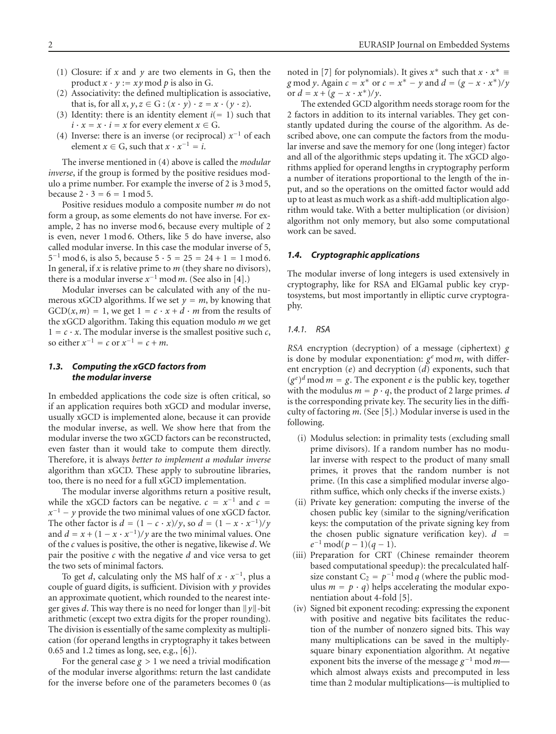- (1) Closure: if *x* and *y* are two elements in G, then the product  $x \cdot y := xy \mod p$  is also in G.
- (2) Associativity: the defined multiplication is associative, that is, for all  $x, y, z \in G : (x \cdot y) \cdot z = x \cdot (y \cdot z)$ .
- (3) Identity: there is an identity element  $i(= 1)$  such that  $i \cdot x = x \cdot i = x$  for every element  $x \in G$ .
- (4) Inverse: there is an inverse (or reciprocal) *x*−<sup>1</sup> of each element *x* ∈ G, such that  $x \cdot x^{-1} = i$ .

The inverse mentioned in (4) above is called the *modular inverse*, if the group is formed by the positive residues modulo a prime number. For example the inverse of 2 is 3 mod 5, because  $2 \cdot 3 = 6 = 1 \mod 5$ .

Positive residues modulo a composite number *m* do not form a group, as some elements do not have inverse. For example, 2 has no inverse mod 6, because every multiple of 2 is even, never 1 mod 6. Others, like 5 do have inverse, also called modular inverse. In this case the modular inverse of 5,  $5^{-1}$  mod 6, is also 5, because  $5 \cdot 5 = 25 = 24 + 1 = 1$  mod 6. In general, if *x* is relative prime to *m* (they share no divisors), there is a modular inverse *x*−<sup>1</sup> mod*m*. (See also in [\[4](#page-11-4)].)

Modular inverses can be calculated with any of the numerous xGCD algorithms. If we set  $y = m$ , by knowing that GCD(*x*, *m*) = 1, we get  $1 = c \cdot x + d \cdot m$  from the results of the xGCD algorithm. Taking this equation modulo *m* we get  $1 = c \cdot x$ . The modular inverse is the smallest positive such *c*, so either  $x^{-1} = c$  or  $x^{-1} = c + m$ .

# *1.3. Computing the xGCD factors from the modular inverse*

In embedded applications the code size is often critical, so if an application requires both xGCD and modular inverse, usually xGCD is implemented alone, because it can provide the modular inverse, as well. We show here that from the modular inverse the two xGCD factors can be reconstructed, even faster than it would take to compute them directly. Therefore, it is always *better to implement a modular inverse* algorithm than xGCD. These apply to subroutine libraries, too, there is no need for a full xGCD implementation.

The modular inverse algorithms return a positive result, while the xGCD factors can be negative.  $c = x^{-1}$  and  $c =$  $x^{-1}$  − *y* provide the two minimal values of one xGCD factor. The other factor is  $d = (1 - c \cdot x)/y$ , so  $d = (1 - x \cdot x^{-1})/y$ and  $d = x + (1 - x \cdot x^{-1})/y$  are the two minimal values. One of the *c* values is positive, the other is negative, likewise *d*. We pair the positive *c* with the negative *d* and vice versa to get the two sets of minimal factors.

To get *d*, calculating only the MS half of  $x \cdot x^{-1}$ , plus a couple of guard digits, is sufficient. Division with *y* provides an approximate quotient, which rounded to the nearest integer gives *d*. This way there is no need for longer than  $||y||$ -bit arithmetic (except two extra digits for the proper rounding). The division is essentially of the same complexity as multiplication (for operand lengths in cryptography it takes between 0.65 and 1.2 times as long, see, e.g., [\[6\]](#page-11-6)).

For the general case  $g > 1$  we need a trivial modification of the modular inverse algorithms: return the last candidate for the inverse before one of the parameters becomes 0 (as

noted in [\[7\]](#page-11-7) for polynomials). It gives  $x^*$  such that  $x \cdot x^* \equiv$ *g* mod *y*. Again  $c = x^*$  or  $c = x^* - y$  and  $d = (g - x \cdot x^*)/y$ or  $d = x + (g - x \cdot x^*)/y$ .

The extended GCD algorithm needs storage room for the 2 factors in addition to its internal variables. They get constantly updated during the course of the algorithm. As described above, one can compute the factors from the modular inverse and save the memory for one (long integer) factor and all of the algorithmic steps updating it. The xGCD algorithms applied for operand lengths in cryptography perform a number of iterations proportional to the length of the input, and so the operations on the omitted factor would add up to at least as much work as a shift-add multiplication algorithm would take. With a better multiplication (or division) algorithm not only memory, but also some computational work can be saved.

# *1.4. Cryptographic applications*

The modular inverse of long integers is used extensively in cryptography, like for RSA and ElGamal public key cryptosystems, but most importantly in elliptic curve cryptography.

## *1.4.1. RSA*

*RSA* encryption (decryption) of a message (ciphertext) *g* is done by modular exponentiation:  $g^e$  mod m, with different encryption (*e*) and decryption (*d*) exponents, such that  $(g<sup>e</sup>)<sup>d</sup>$  mod *m* = *g*. The exponent *e* is the public key, together with the modulus  $m = p \cdot q$ , the product of 2 large primes. *d* is the corresponding private key. The security lies in the difficulty of factoring *m*. (See [\[5\]](#page-11-5).) Modular inverse is used in the following.

- (i) Modulus selection: in primality tests (excluding small prime divisors). If a random number has no modular inverse with respect to the product of many small primes, it proves that the random number is not prime. (In this case a simplified modular inverse algorithm suffice, which only checks if the inverse exists.)
- (ii) Private key generation: computing the inverse of the chosen public key (similar to the signing/verification keys: the computation of the private signing key from the chosen public signature verification key).  $d =$  $e^{-1} \mod (p-1)(q-1).$
- (iii) Preparation for CRT (Chinese remainder theorem based computational speedup): the precalculated halfsize constant  $C_2 = p^{-1} \mod q$  (where the public modulus  $m = p \cdot q$ ) helps accelerating the modular exponentiation about 4-fold [\[5](#page-11-5)].
- (iv) Signed bit exponent recoding: expressing the exponent with positive and negative bits facilitates the reduction of the number of nonzero signed bits. This way many multiplications can be saved in the multiplysquare binary exponentiation algorithm. At negative exponent bits the inverse of the message *g*−<sup>1</sup> mod*m* which almost always exists and precomputed in less time than 2 modular multiplications—is multiplied to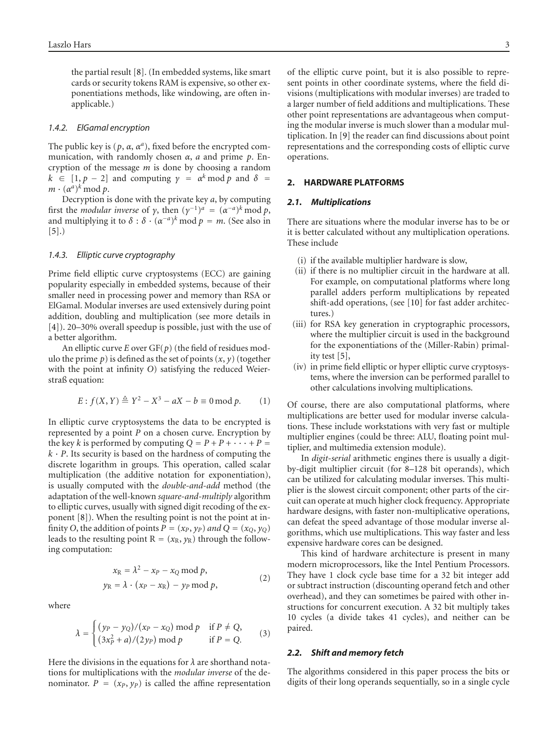the partial result [\[8](#page-11-8)]. (In embedded systems, like smart cards or security tokens RAM is expensive, so other exponentiations methods, like windowing, are often inapplicable.)

#### *1.4.2. ElGamal encryption*

The public key is  $(p, \alpha, \alpha^a)$ , fixed before the encrypted communication, with randomly chosen *α*, *a* and prime *p*. Encryption of the message *m* is done by choosing a random  $k \in [1, p - 2]$  and computing  $\gamma = \alpha^k \mod p$  and  $\delta =$  $m \cdot (\alpha^a)^k \mod p$ .

Decryption is done with the private key *a*, by computing first the *modular inverse* of *γ*, then  $(\gamma^{-1})^a = (\alpha^{-a})^k \text{ mod } p$ , and multiplying it to  $\delta : \delta \cdot (\alpha^{-a})^k \text{ mod } p = m$ . (See also in  $[5]$ .)

# *1.4.3. Elliptic curve cryptography*

Prime field elliptic curve cryptosystems (ECC) are gaining popularity especially in embedded systems, because of their smaller need in processing power and memory than RSA or ElGamal. Modular inverses are used extensively during point addition, doubling and multiplication (see more details in [\[4\]](#page-11-4)). 20–30% overall speedup is possible, just with the use of a better algorithm.

An elliptic curve *E* over GF(*p*) (the field of residues modulo the prime  $p$ ) is defined as the set of points  $(x, y)$  (together with the point at infinity *O*) satisfying the reduced Weierstraß equation:

$$
E: f(X, Y) \triangleq Y^2 - X^3 - aX - b \equiv 0 \mod p. \tag{1}
$$

In elliptic curve cryptosystems the data to be encrypted is represented by a point *P* on a chosen curve. Encryption by the key *k* is performed by computing  $Q = P + P + \cdots + P =$ *k* · *P*. Its security is based on the hardness of computing the discrete logarithm in groups. This operation, called scalar multiplication (the additive notation for exponentiation), is usually computed with the *double-and-add* method (the adaptation of the well-known *square-and-multiply* algorithm to elliptic curves, usually with signed digit recoding of the exponent [\[8\]](#page-11-8)). When the resulting point is not the point at infinity *O*, the addition of points  $P = (x_P, y_P)$  and  $Q = (x_Q, y_Q)$ leads to the resulting point  $R = (x_R, y_R)$  through the following computation:

$$
x_{R} = \lambda^{2} - x_{P} - x_{Q} \mod p, \n y_{R} = \lambda \cdot (x_{P} - x_{R}) - y_{P} \mod p,
$$
\n(2)

where

$$
\lambda = \begin{cases}\n(y_P - y_Q)/(x_P - x_Q) \bmod p & \text{if } P \neq Q, \\
(3x_P^2 + a)/(2y_P) \bmod p & \text{if } P = Q.\n\end{cases}
$$
\n(3)

Here the divisions in the equations for  $\lambda$  are shorthand notations for multiplications with the *modular inverse* of the denominator.  $P = (x_P, y_P)$  is called the affine representation of the elliptic curve point, but it is also possible to represent points in other coordinate systems, where the field divisions (multiplications with modular inverses) are traded to a larger number of field additions and multiplications. These other point representations are advantageous when computing the modular inverse is much slower than a modular multiplication. In [\[9\]](#page-11-9) the reader can find discussions about point representations and the corresponding costs of elliptic curve operations.

# **2. HARDWARE PLATFORMS**

#### *2.1. Multiplications*

There are situations where the modular inverse has to be or it is better calculated without any multiplication operations. These include

- (i) if the available multiplier hardware is slow,
- (ii) if there is no multiplier circuit in the hardware at all. For example, on computational platforms where long parallel adders perform multiplications by repeated shift-add operations, (see [\[10\]](#page-11-10) for fast adder architectures.)
- (iii) for RSA key generation in cryptographic processors, where the multiplier circuit is used in the background for the exponentiations of the (Miller-Rabin) primality test [\[5](#page-11-5)],
- (iv) in prime field elliptic or hyper elliptic curve cryptosystems, where the inversion can be performed parallel to other calculations involving multiplications.

Of course, there are also computational platforms, where multiplications are better used for modular inverse calculations. These include workstations with very fast or multiple multiplier engines (could be three: ALU, floating point multiplier, and multimedia extension module).

In *digit-serial* arithmetic engines there is usually a digitby-digit multiplier circuit (for 8–128 bit operands), which can be utilized for calculating modular inverses. This multiplier is the slowest circuit component; other parts of the circuit can operate at much higher clock frequency. Appropriate hardware designs, with faster non-multiplicative operations, can defeat the speed advantage of those modular inverse algorithms, which use multiplications. This way faster and less expensive hardware cores can be designed.

This kind of hardware architecture is present in many modern microprocessors, like the Intel Pentium Processors. They have 1 clock cycle base time for a 32 bit integer add or subtract instruction (discounting operand fetch and other overhead), and they can sometimes be paired with other instructions for concurrent execution. A 32 bit multiply takes 10 cycles (a divide takes 41 cycles), and neither can be paired.

#### *2.2. Shift and memory fetch*

The algorithms considered in this paper process the bits or digits of their long operands sequentially, so in a single cycle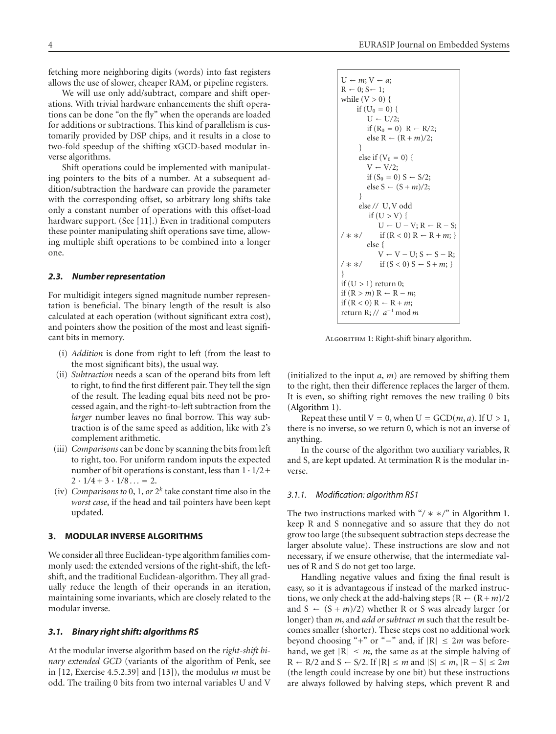fetching more neighboring digits (words) into fast registers allows the use of slower, cheaper RAM, or pipeline registers.

We will use only add/subtract, compare and shift operations. With trivial hardware enhancements the shift operations can be done "on the fly" when the operands are loaded for additions or subtractions. This kind of parallelism is customarily provided by DSP chips, and it results in a close to two-fold speedup of the shifting xGCD-based modular inverse algorithms.

Shift operations could be implemented with manipulating pointers to the bits of a number. At a subsequent addition/subtraction the hardware can provide the parameter with the corresponding offset, so arbitrary long shifts take only a constant number of operations with this offset-load hardware support. (See [\[11\]](#page-11-11).) Even in traditional computers these pointer manipulating shift operations save time, allowing multiple shift operations to be combined into a longer one.

# *2.3. Number representation*

For multidigit integers signed magnitude number representation is beneficial. The binary length of the result is also calculated at each operation (without significant extra cost), and pointers show the position of the most and least significant bits in memory.

- (i) *Addition* is done from right to left (from the least to the most significant bits), the usual way.
- (ii) *Subtraction* needs a scan of the operand bits from left to right, to find the first different pair. They tell the sign of the result. The leading equal bits need not be processed again, and the right-to-left subtraction from the *larger* number leaves no final borrow. This way subtraction is of the same speed as addition, like with 2's complement arithmetic.
- (iii) *Comparisons* can be done by scanning the bits from left to right, too. For uniform random inputs the expected number of bit operations is constant, less than 1·1*/*2+  $2 \cdot 1/4 + 3 \cdot 1/8 \ldots = 2$ .
- (iv) *Comparisons to* 0, 1, *or*  $2^k$  take constant time also in the *worst case*, if the head and tail pointers have been kept updated.

## **3. MODULAR INVERSE ALGORITHMS**

We consider all three Euclidean-type algorithm families commonly used: the extended versions of the right-shift, the leftshift, and the traditional Euclidean-algorithm. They all gradually reduce the length of their operands in an iteration, maintaining some invariants, which are closely related to the modular inverse.

# *3.1. Binary right shift: algorithms RS*

At the modular inverse algorithm based on the *right-shift binary extended GCD* (variants of the algorithm of Penk, see in [\[12](#page-11-12), Exercise 4.5.2.39] and [\[13](#page-11-13)]), the modulus *m* must be odd. The trailing 0 bits from two internal variables U and V

U 
$$
- m; V - a;
$$
  
\nR  $- 0; S - 1;$   
\nwhile (V > 0) {  
\nif (U<sub>0</sub> = 0) {  
\nU  $- U/2;$   
\nif (R<sub>0</sub> = 0) R  $- R/2;$   
\nelse R  $- (R + m)/2;$   
\n}  
\n $\}$   
\nelse if (V<sub>0</sub> = 0) {  
\nV  $- V/2;$   
\nif (S<sub>0</sub> = 0) S  $- S/2;$   
\nelse S  $- (S + m)/2;$   
\n}  
\n $\}$   
\nelse // U, V odd  
\nif (U > V) {  
\nU  $- U - V; R - R - S;$   
\n/\* \*/  
\nelse {  
\nV  $- V - U; S - S - R;$   
\n/\* \*/  
\nif (S < 0) S  $- S + m;$ }  
\n];  
\nif (U > 1) return 0;  
\nif (R > m) R  $- R - m;$   
\nif (R < 0) R  $- R + m;$   
\nreturn R; //  $a^{-1}$  mod m

<span id="page-3-0"></span>Algorithm 1: Right-shift binary algorithm.

(initialized to the input *a*, *m*) are removed by shifting them to the right, then their difference replaces the larger of them. It is even, so shifting right removes the new trailing 0 bits [\(Algorithm 1\)](#page-3-0).

Repeat these until  $V = 0$ , when  $U = GCD(m, a)$ . If  $U > 1$ , there is no inverse, so we return 0, which is not an inverse of anything.

In the course of the algorithm two auxiliary variables, R and S, are kept updated. At termination R is the modular inverse.

# *3.1.1. Modification: algorithm RS1*

The two instructions marked with "*/* ∗ ∗*/*" in [Algorithm 1.](#page-3-0) keep R and S nonnegative and so assure that they do not grow too large (the subsequent subtraction steps decrease the larger absolute value). These instructions are slow and not necessary, if we ensure otherwise, that the intermediate values of R and S do not get too large.

Handling negative values and fixing the final result is easy, so it is advantageous if instead of the marked instructions, we only check at the add-halving steps  $(R \leftarrow (R + m)/2)$ and  $S \leftarrow (S + m)/2$ ) whether R or S was already larger (or longer) than *m*, and *add or subtract m* such that the result becomes smaller (shorter). These steps cost no additional work beyond choosing "+" or "−" and, if |R| ≤ 2*m* was beforehand, we get  $|R| \leq m$ , the same as at the simple halving of  $R \leftarrow R/2$  and  $S \leftarrow S/2$ . If  $|R| \leq m$  and  $|S| \leq m$ ,  $|R - S| \leq 2m$ (the length could increase by one bit) but these instructions are always followed by halving steps, which prevent R and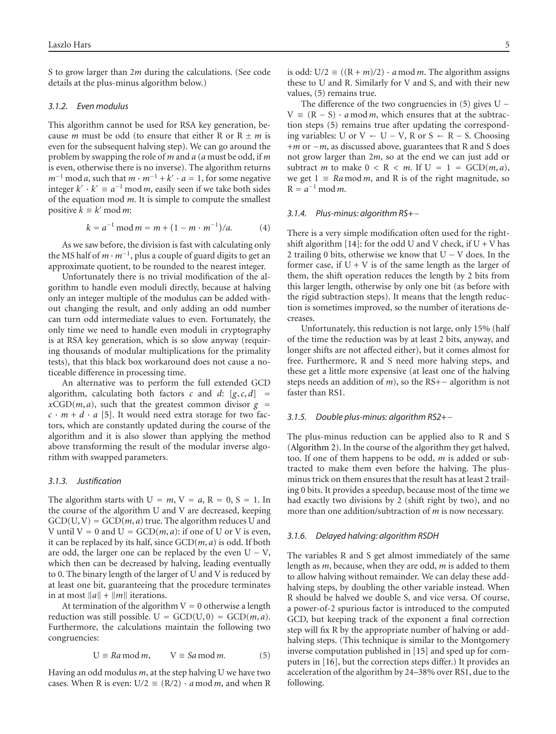S to grow larger than 2*m* during the calculations. (See code details at the plus-minus algorithm below.)

#### *3.1.2. Even modulus*

This algorithm cannot be used for RSA key generation, because *m* must be odd (to ensure that either R or  $R \pm m$  is even for the subsequent halving step). We can go around the problem by swapping the role of *m* and *a* (*a* must be odd, if *m* is even, otherwise there is no inverse). The algorithm returns  $m^{-1}$  mod *a*, such that  $m \cdot m^{-1} + k' \cdot a = 1$ , for some negative integer  $k'$  ⋅  $k' \equiv a^{-1} \mod m$ , easily seen if we take both sides of the equation mod *m*. It is simple to compute the smallest positive  $k \equiv k' \mod m$ :

$$
k = a^{-1} \mod m = m + (1 - m \cdot m^{-1})/a.
$$
 (4)

As we saw before, the division is fast with calculating only the MS half of  $m \cdot m^{-1}$ , plus a couple of guard digits to get an approximate quotient, to be rounded to the nearest integer.

Unfortunately there is no trivial modification of the algorithm to handle even moduli directly, because at halving only an integer multiple of the modulus can be added without changing the result, and only adding an odd number can turn odd intermediate values to even. Fortunately, the only time we need to handle even moduli in cryptography is at RSA key generation, which is so slow anyway (requiring thousands of modular multiplications for the primality tests), that this black box workaround does not cause a noticeable difference in processing time.

An alternative was to perform the full extended GCD algorithm, calculating both factors *c* and *d*:  $[g, c, d]$  =  $xCGD(m, a)$ , such that the greatest common divisor  $g =$  $c \cdot m + d \cdot a$  [\[5\]](#page-11-5). It would need extra storage for two factors, which are constantly updated during the course of the algorithm and it is also slower than applying the method above transforming the result of the modular inverse algorithm with swapped parameters.

#### *3.1.3. Justification*

The algorithm starts with  $U = m$ ,  $V = a$ ,  $R = 0$ ,  $S = 1$ . In the course of the algorithm U and V are decreased, keeping  $GCD(U, V) = GCD(m, a)$  true. The algorithm reduces U and V until  $V = 0$  and  $U = GCD(m, a)$ : if one of U or V is even, it can be replaced by its half, since GCD(*m*, *a*) is odd. If both are odd, the larger one can be replaced by the even  $U - V$ , which then can be decreased by halving, leading eventually to 0. The binary length of the larger of U and V is reduced by at least one bit, guaranteeing that the procedure terminates in at most  $||a|| + ||m||$  iterations.

At termination of the algorithm  $V = 0$  otherwise a length reduction was still possible. U =  $GCD(U, 0) = GCD(m, a)$ . Furthermore, the calculations maintain the following two congruencies:

<span id="page-4-0"></span>
$$
U \equiv Ra \mod m, \qquad V \equiv Sa \mod m. \tag{5}
$$

Having an odd modulus *m*, at the step halving U we have two cases. When R is even:  $U/2 \equiv (R/2) \cdot a \mod m$ , and when R is odd:  $U/2 \equiv ((R + m)/2) \cdot a \mod m$ . The algorithm assigns these to U and R. Similarly for V and S, and with their new values, [\(5\)](#page-4-0) remains true.

The difference of the two congruencies in  $(5)$  gives U −  $V \equiv (R - S) \cdot a \mod m$ , which ensures that at the subtraction steps [\(5\)](#page-4-0) remains true after updating the corresponding variables: U or V ← U – V, R or S ← R – S. Choosing +*m* or −*m*, as discussed above, guarantees that R and S does not grow larger than 2*m*, so at the end we can just add or subtract *m* to make  $0 \le R \le m$ . If  $U = 1 = GCD(m, a)$ , we get  $1 \equiv Ra \mod m$ , and R is of the right magnitude, so  $R = a^{-1} \mod m$ .

## *3.1.4. Plus-minus: algorithm RS+*−

There is a very simple modification often used for the right-shift algorithm [\[14\]](#page-11-14): for the odd U and V check, if  $U + V$  has 2 trailing 0 bits, otherwise we know that U − V does. In the former case, if  $U + V$  is of the same length as the larger of them, the shift operation reduces the length by 2 bits from this larger length, otherwise by only one bit (as before with the rigid subtraction steps). It means that the length reduction is sometimes improved, so the number of iterations decreases.

Unfortunately, this reduction is not large, only 15% (half of the time the reduction was by at least 2 bits, anyway, and longer shifts are not affected either), but it comes almost for free. Furthermore, R and S need more halving steps, and these get a little more expensive (at least one of the halving steps needs an addition of *m*), so the RS+− algorithm is not faster than RS1.

#### *3.1.5. Double plus-minus: algorithm RS2+*−

The plus-minus reduction can be applied also to R and S [\(Algorithm 2\)](#page-5-0). In the course of the algorithm they get halved, too. If one of them happens to be odd, *m* is added or subtracted to make them even before the halving. The plusminus trick on them ensures that the result has at least 2 trailing 0 bits. It provides a speedup, because most of the time we had exactly two divisions by 2 (shift right by two), and no more than one addition/subtraction of *m* is now necessary.

#### *3.1.6. Delayed halving: algorithm RSDH*

The variables R and S get almost immediately of the same length as *m*, because, when they are odd, *m* is added to them to allow halving without remainder. We can delay these addhalving steps, by doubling the other variable instead. When R should be halved we double S, and vice versa. Of course, a power-of-2 spurious factor is introduced to the computed GCD, but keeping track of the exponent a final correction step will fix R by the appropriate number of halving or addhalving steps. (This technique is similar to the Montgomery inverse computation published in [\[15\]](#page-11-15) and sped up for computers in [\[16](#page-11-16)], but the correction steps differ.) It provides an acceleration of the algorithm by 24–38% over RS1, due to the following.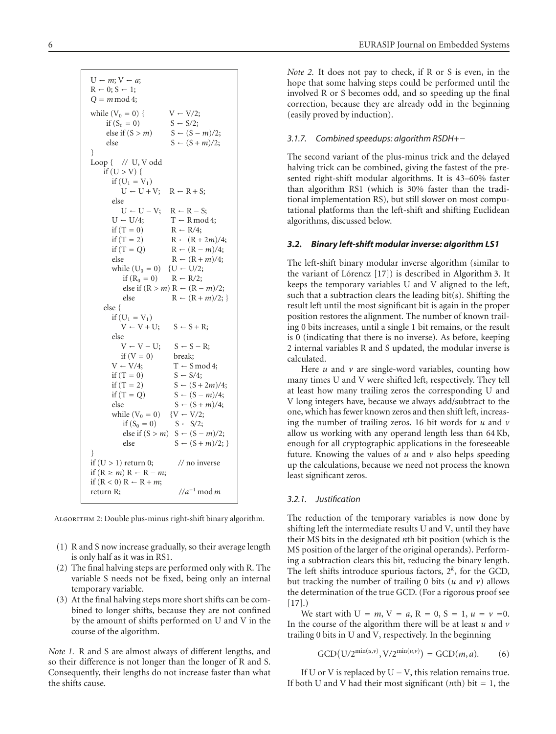```
U \leftarrow m; V \leftarrow a;R \leftarrow 0; S \leftarrow 1;
Q = m \mod 4;while (V_0 = 0) { V \leftarrow V/2;<br>if (S_0 = 0) S \leftarrow S/2;
        if (S_0 = 0)<br>else if (S > m)else if (S > m) S ← (S − m)/2;<br>else S ← (S + m)/2;
                                          S \leftarrow (S + m)/2;}
Loop { // U, V odd
      if (U > V) {
           if (U_1 = V_1)U \leftarrow U + V; \quad R \leftarrow R + S;else
           U \leftarrow U - V; \quad R \leftarrow R - S;<br>U \leftarrow U/4; \quad T \leftarrow R \mod 3T \leftarrow R \mod 4;<br>R \leftarrow R/4;if (T = 0)<br>if (T = 2)if (T = 2) R \leftarrow (R + 2m)/4;<br>if (T = Q) R \leftarrow (R - m)/4;if (T = Q)<br>
R ← (R - m)/4;<br>
R ← (R + m)/4;
                                          R \leftarrow (R + m)/4;while (U_0 = 0) {U \leftarrow U/2;<br>if (R_0 = 0) R \leftarrow R/2;
                if (R_0 = 0)else if (R > m) R ← (R − m)/2;<br>else R ← (R + m)/2;
                                          R \leftarrow (R + m)/2; }
      else {
           if (U_1 = V_1)V \leftarrow V + U; \quad S \leftarrow S + R;else
                V \leftarrow V - U; S \leftarrow S - R;<br>if (V = 0) break;
           if (V = 0)<br>V \leftarrow V/4;
                                           T \leftarrow S \mod 4;<br>S \leftarrow S/4;if (T = 0)<br>if (T = 2)if (T = 2) S \leftarrow (S + 2m)/4;<br>if (T = Q) S \leftarrow (S - m)/4;S ← (S - m)/4;else S \leftarrow (S + m)/4;while (V_0 = 0) {V \leftarrow V/2;<br>if (S_0 = 0) S \leftarrow S/2;
                if (S_0 = 0)else if (S > m) S \leftarrow (S - m)/2;<br>else S \leftarrow (S + m)/2;
                                            S \leftarrow (S + m)/2;}
if (U > 1) return 0; // no inverse
if (R \ge m) R \leftarrow R - m;
if (R < 0) R \leftarrow R + m;<br>return R;
                                              //a<sup>−1</sup> mod m
```
<span id="page-5-0"></span>Algorithm 2: Double plus-minus right-shift binary algorithm.

- (1) R and S now increase gradually, so their average length is only half as it was in RS1.
- (2) The final halving steps are performed only with R. The variable S needs not be fixed, being only an internal temporary variable.
- (3) At the final halving steps more short shifts can be combined to longer shifts, because they are not confined by the amount of shifts performed on U and V in the course of the algorithm.

*Note 1.* R and S are almost always of different lengths, and so their difference is not longer than the longer of R and S. Consequently, their lengths do not increase faster than what the shifts cause.

*Note 2.* It does not pay to check, if R or S is even, in the hope that some halving steps could be performed until the involved R or S becomes odd, and so speeding up the final correction, because they are already odd in the beginning (easily proved by induction).

#### *3.1.7. Combined speedups: algorithm RSDH*+−

The second variant of the plus-minus trick and the delayed halving trick can be combined, giving the fastest of the presented right-shift modular algorithms. It is 43–60% faster than algorithm RS1 (which is 30% faster than the traditional implementation RS), but still slower on most computational platforms than the left-shift and shifting Euclidean algorithms, discussed below.

## *3.2. Binary left-shift modular inverse: algorithm LS1*

The left-shift binary modular inverse algorithm (similar to the variant of Lórencz  $[17]$  $[17]$ ) is described in [Algorithm 3.](#page-6-0) It keeps the temporary variables U and V aligned to the left, such that a subtraction clears the leading bit(s). Shifting the result left until the most significant bit is again in the proper position restores the alignment. The number of known trailing 0 bits increases, until a single 1 bit remains, or the result is 0 (indicating that there is no inverse). As before, keeping 2 internal variables R and S updated, the modular inverse is calculated.

Here  $u$  and  $v$  are single-word variables, counting how many times U and V were shifted left, respectively. They tell at least how many trailing zeros the corresponding U and V long integers have, because we always add/subtract to the one, which has fewer known zeros and then shift left, increasing the number of trailing zeros. 16 bit words for *u* and *v* allow us working with any operand length less than 64 Kb, enough for all cryptographic applications in the foreseeable future. Knowing the values of *u* and *v* also helps speeding up the calculations, because we need not process the known least significant zeros.

### *3.2.1. Justification*

The reduction of the temporary variables is now done by shifting left the intermediate results U and V, until they have their MS bits in the designated *n*th bit position (which is the MS position of the larger of the original operands). Performing a subtraction clears this bit, reducing the binary length. The left shifts introduce spurious factors,  $2<sup>k</sup>$ , for the GCD, but tracking the number of trailing 0 bits (*u* and *v*) allows the determination of the true GCD. (For a rigorous proof see  $[17]$  $[17]$ .)

We start with  $U = m$ ,  $V = a$ ,  $R = 0$ ,  $S = 1$ ,  $u = v = 0$ . In the course of the algorithm there will be at least *u* and *v* trailing 0 bits in U and V, respectively. In the beginning

$$
\text{GCD}(\mathbf{U}/2^{\min(u,v)}, \mathbf{V}/2^{\min(u,v)}) = \text{GCD}(m, a). \tag{6}
$$

If U or V is replaced by U – V, this relation remains true. If both U and V had their most significant  $(nth)$  bit = 1, the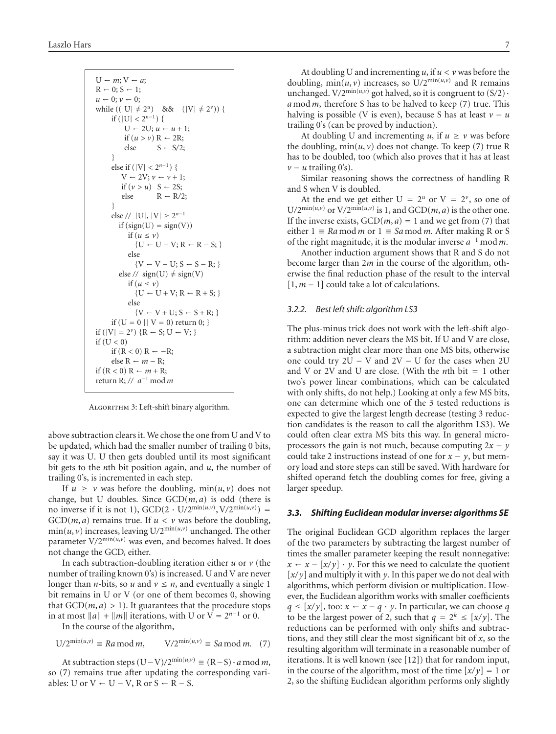```
U \leftarrow m; V \leftarrow a;R \leftarrow 0; S \leftarrow 1;
u \leftarrow 0; v \leftarrow 0;while ((|U| \neq 2^u) && (|V| \neq 2^v)) {
      if (|U| < 2^{n-1}) {
           U \leftarrow 2U; u \leftarrow u + 1;if (u > v) R ← 2R;<br>else S ← S/2;
                        S - S/2;}
      else if (|V| < 2^{n-1}) {
          V \leftarrow 2V; v \leftarrow v + 1;if (v > u) S \leftarrow 2S;<br>else R \leftarrow R/2
                       R ← R/2;
       }
else // |U|, |V| ≥ 2n−1
         if (sign(U) = sign(V))if (u \le v){U - U - V; R - R - S; }else
                {V - V - U; S - S - R; }else // sign(U) \neq sign(V)if (u \le v){U \leftarrow U + V; R \leftarrow R + S; }else
                {V \leftarrow V + U; S \leftarrow S + R; }if (U = 0 \mid | V = 0) return 0; }
if (|V| = 2<sup>v</sup>) {R ← S; U ← V; }
if (U < 0)if (R < 0) R ← -R;
      else R ← m – R;
if (R < 0) R \leftarrow m + R;
return R; // a−1 modm
```
<span id="page-6-0"></span>Algorithm 3: Left-shift binary algorithm.

above subtraction clears it. We chose the one from U and V to be updated, which had the smaller number of trailing 0 bits, say it was U. U then gets doubled until its most significant bit gets to the *n*th bit position again, and *u*, the number of trailing 0's, is incremented in each step.

If  $u \geq v$  was before the doubling,  $min(u, v)$  does not change, but U doubles. Since GCD(*m*, *a*) is odd (there is no inverse if it is not 1),  $GCD(2 \cdot U/2^{\min(u,v)}, V/2^{\min(u,v)})$  = GCD( $m$ ,  $a$ ) remains true. If  $u < v$  was before the doubling,  $min(u, v)$  increases, leaving  $U/2^{min(u, v)}$  unchanged. The other parameter  $V/2^{\min(u,v)}$  was even, and becomes halved. It does not change the GCD, either.

In each subtraction-doubling iteration either *u* or *v* (the number of trailing known 0's) is increased. U and V are never longer than *n*-bits, so *u* and  $v \le n$ , and eventually a single 1 bit remains in U or V (or one of them becomes 0, showing that  $GCD(m, a) > 1$ ). It guarantees that the procedure stops in at most  $||a|| + ||m||$  iterations, with U or V =  $2^{n-1}$  or 0.

<span id="page-6-1"></span>In the course of the algorithm,

$$
U/2^{\min(u,v)} \equiv Ra \mod m, \qquad V/2^{\min(u,v)} \equiv Sa \mod m. \quad (7)
$$

At subtraction steps  $(U-V)/2^{\min(u,v)} \equiv (R-S) \cdot a \mod m$ , so [\(7\)](#page-6-1) remains true after updating the corresponding variables: U or  $V \leftarrow U - V$ , R or  $S \leftarrow R - S$ .

At doubling U and incrementing  $u$ , if  $u < v$  was before the doubling,  $min(u, v)$  increases, so  $U/2^{min(u,v)}$  and R remains unchanged.  $V/2^{\min(u,v)}$  got halved, so it is congruent to  $(S/2)$ · *a* mod*m*, therefore S has to be halved to keep [\(7\)](#page-6-1) true. This halving is possible (V is even), because S has at least  $v - u$ trailing 0's (can be proved by induction).

At doubling U and incrementing  $u$ , if  $u \geq v$  was before the doubling,  $min(u, v)$  does not change. To keep [\(7\)](#page-6-1) true R has to be doubled, too (which also proves that it has at least  $v - u$  trailing 0's).

Similar reasoning shows the correctness of handling R and S when V is doubled.

At the end we get either  $U = 2^u$  or  $V = 2^v$ , so one of  $U/2^{\min(u,v)}$  or  $V/2^{\min(u,v)}$  is 1, and  $GCD(m, a)$  is the other one. If the inverse exists,  $GCD(m, a) = 1$  and we get from [\(7\)](#page-6-1) that either  $1 \equiv Ra \mod m$  or  $1 \equiv Sa \mod m$ . After making R or S of the right magnitude, it is the modular inverse *a*−<sup>1</sup> mod*m*.

Another induction argument shows that R and S do not become larger than 2*m* in the course of the algorithm, otherwise the final reduction phase of the result to the interval [1,*m* − 1] could take a lot of calculations.

#### *3.2.2. Best left shift: algorithm LS3*

The plus-minus trick does not work with the left-shift algorithm: addition never clears the MS bit. If U and V are close, a subtraction might clear more than one MS bits, otherwise one could try  $2U - V$  and  $2V - U$  for the cases when 2U and V or 2V and U are close. (With the *n*th bit = 1 other two's power linear combinations, which can be calculated with only shifts, do not help.) Looking at only a few MS bits, one can determine which one of the 3 tested reductions is expected to give the largest length decrease (testing 3 reduction candidates is the reason to call the algorithm LS3). We could often clear extra MS bits this way. In general microprocessors the gain is not much, because computing  $2x - y$ could take 2 instructions instead of one for  $x - y$ , but memory load and store steps can still be saved. With hardware for shifted operand fetch the doubling comes for free, giving a larger speedup.

#### *3.3. Shifting Euclidean modular inverse: algorithms SE*

The original Euclidean GCD algorithm replaces the larger of the two parameters by subtracting the largest number of times the smaller parameter keeping the result nonnegative:  $x \leftarrow x - [x/y] \cdot y$ . For this we need to calculate the quotient [*x/y*] and multiply it with *y*. In this paper we do not deal with algorithms, which perform division or multiplication. However, the Euclidean algorithm works with smaller coefficients  $q \leq [x/y]$ , too:  $x \leftarrow x - q \cdot y$ . In particular, we can choose *q* to be the largest power of 2, such that  $q = 2^k \leq [x/y]$ . The reductions can be performed with only shifts and subtractions, and they still clear the most significant bit of *x*, so the resulting algorithm will terminate in a reasonable number of iterations. It is well known (see [\[12\]](#page-11-12)) that for random input, in the course of the algorithm, most of the time  $[x/y] = 1$  or 2, so the shifting Euclidean algorithm performs only slightly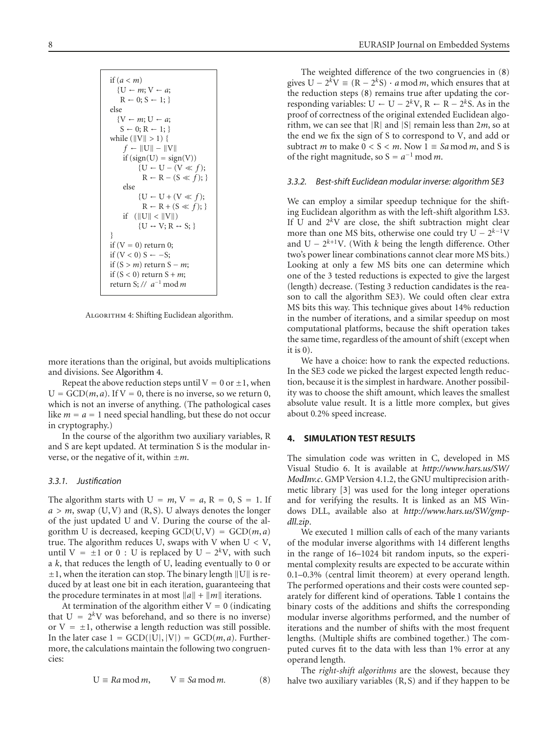| if $(a < m)$                                     |
|--------------------------------------------------|
| $\{U \leftarrow m; V \leftarrow a;$              |
| $R \leftarrow 0; S \leftarrow 1;$                |
| else                                             |
| $\{V \leftarrow m; U \leftarrow a;$              |
| $S - 0; R - 1;$                                  |
| while ( $  V   > 1$ ) {                          |
| $f \leftarrow   U   -   V  $                     |
| if $(\text{sign}(U) = \text{sign}(V))$           |
| ${U-U-(V \ll f)};$                               |
| $R - R - (S \ll f);$                             |
| else                                             |
| ${U-U+(V \ll f)};$                               |
| $R \leftarrow R + (S \ll f);$                    |
| if $(  U   <   V  )$                             |
| $\{U \leftrightarrow V: R \leftrightarrow S: \}$ |
| ł                                                |
| if $(V = 0)$ return 0;                           |
| if $(V < 0)$ S $\leftarrow -S$ ;                 |
| if $(S > m)$ return $S - m$ ;                    |
| if $(S < 0)$ return $S + m$ ;                    |
| return S; // $a^{-1}$ mod m                      |
|                                                  |

<span id="page-7-0"></span>Algorithm 4: Shifting Euclidean algorithm.

more iterations than the original, but avoids multiplications and divisions. See [Algorithm 4.](#page-7-0)

Repeat the above reduction steps until  $V = 0$  or  $\pm 1$ , when  $U = GCD(m, a)$ . If  $V = 0$ , there is no inverse, so we return 0, which is not an inverse of anything. (The pathological cases like  $m = a = 1$  need special handling, but these do not occur in cryptography.)

In the course of the algorithm two auxiliary variables, R and S are kept updated. At termination S is the modular inverse, or the negative of it, within ±*m*.

#### *3.3.1. Justification*

The algorithm starts with  $U = m$ ,  $V = a$ ,  $R = 0$ ,  $S = 1$ . If  $a > m$ , swap (U, V) and (R, S). U always denotes the longer of the just updated U and V. During the course of the algorithm U is decreased, keeping  $GCD(U, V) = GCD(m, a)$ true. The algorithm reduces U, swaps with V when U *<* V, until V =  $\pm 1$  or 0 : U is replaced by U – 2<sup>k</sup>V, with such a *k*, that reduces the length of U, leading eventually to 0 or  $\pm 1$ , when the iteration can stop. The binary length  $||U||$  is reduced by at least one bit in each iteration, guaranteeing that the procedure terminates in at most  $||a|| + ||m||$  iterations.

At termination of the algorithm either  $V = 0$  (indicating that  $U = 2<sup>k</sup>V$  was beforehand, and so there is no inverse) or  $V = \pm 1$ , otherwise a length reduction was still possible. In the later case  $1 = GCD(|U|, |V|) = GCD(m, a)$ . Furthermore, the calculations maintain the following two congruencies:

The weighted difference of the two congruencies in [\(8\)](#page-7-1) gives  $U - 2<sup>k</sup>V$  ≡ (R –  $2<sup>k</sup>S$ ) · *a* mod *m*, which ensures that at the reduction steps [\(8\)](#page-7-1) remains true after updating the corresponding variables:  $U$  ←  $U - 2<sup>k</sup>V$ ,  $R$  ←  $R - 2<sup>k</sup>S$ . As in the proof of correctness of the original extended Euclidean algorithm, we can see that |R| and |S| remain less than 2*m*, so at the end we fix the sign of S to correspond to V, and add or subtract *m* to make  $0 < S < m$ . Now  $1 \equiv$  *Sa* mod *m*, and *S* is of the right magnitude, so  $S = a^{-1} \mod m$ .

#### *3.3.2. Best-shift Euclidean modular inverse: algorithm SE3*

We can employ a similar speedup technique for the shifting Euclidean algorithm as with the left-shift algorithm LS3. If U and 2*k*V are close, the shift subtraction might clear more than one MS bits, otherwise one could try  $U - 2^{k-1}V$ and U <sup>−</sup> 2*<sup>k</sup>*+1V. (With *k* being the length difference. Other two's power linear combinations cannot clear more MS bits.) Looking at only a few MS bits one can determine which one of the 3 tested reductions is expected to give the largest (length) decrease. (Testing 3 reduction candidates is the reason to call the algorithm SE3). We could often clear extra MS bits this way. This technique gives about 14% reduction in the number of iterations, and a similar speedup on most computational platforms, because the shift operation takes the same time, regardless of the amount of shift (except when it is  $0$ ).

We have a choice: how to rank the expected reductions. In the SE3 code we picked the largest expected length reduction, because it is the simplest in hardware. Another possibility was to choose the shift amount, which leaves the smallest absolute value result. It is a little more complex, but gives about 0*.*2% speed increase.

#### **4. SIMULATION TEST RESULTS**

The simulation code was written in C, developed in MS Visual Studio 6. It is available at *[http://www.hars.us/SW/](http://www.hars.us/SW/ModInv.c) [ModInv.c](http://www.hars.us/SW/ModInv.c)*. GMP Version 4.1.2, the GNU multiprecision arithmetic library [\[3](#page-11-3)] was used for the long integer operations and for verifying the results. It is linked as an MS Windows DLL, available also at *[http://www.hars.us/SW/gmp](http://www.hars.us/SW/gmp-dll.zip)[dll.zip](http://www.hars.us/SW/gmp-dll.zip)*.

We executed 1 million calls of each of the many variants of the modular inverse algorithms with 14 different lengths in the range of 16–1024 bit random inputs, so the experimental complexity results are expected to be accurate within 0.1–0.3% (central limit theorem) at every operand length. The performed operations and their costs were counted separately for different kind of operations. Table 1 contains the binary costs of the additions and shifts the corresponding modular inverse algorithms performed, and the number of iterations and the number of shifts with the most frequent lengths. (Multiple shifts are combined together.) The computed curves fit to the data with less than 1% error at any operand length.

<span id="page-7-1"></span>The *right-shift algorithms* are the slowest, because they halve two auxiliary variables (R, S) and if they happen to be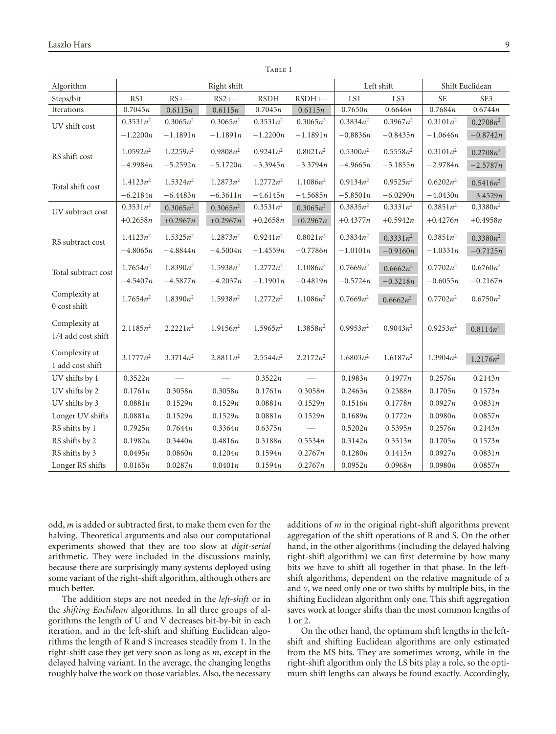| Algorithm                           | Right shift |             |             |             |                 | Left shift  |             | Shift Euclidean |             |
|-------------------------------------|-------------|-------------|-------------|-------------|-----------------|-------------|-------------|-----------------|-------------|
| Steps/bit                           | RS1         | $RS+-$      | $RS2+-$     | <b>RSDH</b> | $RSDH+-$        | LS1         | LS3         | <b>SE</b>       | SE3         |
| Iterations                          | 0.7045n     | 0.6115n     | 0.6115n     | 0.7045n     | 0.6115n         | 0.7650n     | 0.6646n     | 0.7684n         | 0.6744n     |
| UV shift cost                       | $0.3531n^2$ | $0.3065n^2$ | $0.3065n^2$ | $0.3531n^2$ | $0.3065n^2$     | $0.3834n^2$ | $0.3967n^2$ | $0.3101n^2$     | $0.2708n^2$ |
|                                     | $-1.2200n$  | $-1.1891n$  | $-1.1891n$  | $-1.2200n$  | $-1.1891n$      | $-0.8836n$  | $-0.8435n$  | $-1.0646n$      | $-0.8742n$  |
| RS shift cost                       | $1.0592n^2$ | $1.2259n^2$ | $0.9808n^2$ | $0.9241n^2$ | $0.8021n^2$     | $0.5300n^2$ | $0.5558n^2$ | $0.3101n^2$     | $0.2708n^2$ |
|                                     | $-4.9984n$  | $-5.2592n$  | $-5.1720n$  | $-3.3945n$  | $-3.3794n$      | $-4.9665n$  | $-5.1855n$  | $-2.9784n$      | $-2.5787n$  |
| Total shift cost                    | $1.4123n^2$ | $1.5324n^2$ | $1.2873n^2$ | $1.2772n^2$ | $1.1086n^2$     | $0.9134n^2$ | $0.9525n^2$ | $0.6202n^2$     | $0.5416n^2$ |
|                                     | $-6.2184n$  | $-6.4483n$  | $-6.3611n$  | $-4.6145n$  | $-4.5685n$      | $-5.8501n$  | $-6.0290n$  | $-4.0430n$      | $-3.4529n$  |
| UV subtract cost                    | $0.3531n^2$ | $0.3065n^2$ | $0.3065n^2$ | $0.3531n^2$ | $0.3065n^2$     | $0.3835n^2$ | $0.3331n^2$ | $0.3851n^2$     | $0.3380n^2$ |
|                                     | $+0.2658n$  | $+0.2967n$  | $+0.2967n$  | $+0.2658n$  | $+0.2967n$      | $+0.4377n$  | $+0.5942n$  | $+0.4276n$      | $+0.4958n$  |
| RS subtract cost                    | $1.4123n^2$ | $1.5325n^2$ | $1.2873n^2$ | $0.9241n^2$ | $0.8021n^2$     | $0.3834n^2$ | $0.3331n^2$ | $0.3851n^2$     | $0.3380n^2$ |
|                                     | $-4.8065n$  | $-4.8844n$  | $-4.5004n$  | $-1.4559n$  | $-0.7786n$      | $-1.0101n$  | $-0.9160n$  | $-1.0331n$      | $-0.7125n$  |
| Total subtract cost                 | $1.7654n^2$ | $1.8390n^2$ | $1.5938n^2$ | $1.2772n^2$ | $1.1086n^2$     | $0.7669n^2$ | $0.6662n^2$ | $0.7702n^2$     | $0.6760n^2$ |
|                                     | $-4.5407n$  | $-4.5877n$  | $-4.2037n$  | $-1.1901n$  | $-0.4819n$      | $-0.5724n$  | $-0.3218n$  | $-0.6055n$      | $-0.2167n$  |
| Complexity at<br>0 cost shift       | $1.7654n^2$ | $1.8390n^2$ | $1.5938n^2$ | $1.2772n^2$ | $1.1086n^2$     | $0.7669n^2$ | $0.6662n^2$ | $0.7702n^2$     | $0.6750n^2$ |
| Complexity at<br>1/4 add cost shift | $2.1185n^2$ | $2.2221n^2$ | $1.9156n^2$ | $1.5965n^2$ | $1.3858n^2$     | $0.9953n^2$ | $0.9043n^2$ | $0.9253n^2$     | $0.8114n^2$ |
| Complexity at<br>1 add cost shift   | $3.1777n^2$ | $3.3714n^2$ | $2.8811n^2$ | $2.5544n^2$ | $2.2172n^2$     | $1.6803n^2$ | $1.6187n^2$ | $1.3904n^2$     | $1.2176n^2$ |
| UV shifts by 1                      | 0.3522n     |             |             | 0.3522n     | $\qquad \qquad$ | 0.1983n     | 0.1977n     | 0.2576n         | 0.2143n     |
| UV shifts by 2                      | 0.1761n     | 0.3058n     | 0.3058n     | 0.1761n     | 0.3058n         | 0.2463n     | 0.2388n     | 0.1705n         | 0.1573n     |
| UV shifts by 3                      | 0.0881n     | 0.1529n     | 0.1529n     | 0.0881n     | 0.1529n         | 0.1516n     | 0.1778n     | 0.0927n         | 0.0831n     |
| Longer UV shifts                    | 0.0881n     | 0.1529n     | 0.1529n     | 0.0881n     | 0.1529n         | 0.1689n     | 0.1772n     | 0.0980n         | 0.0857n     |
| RS shifts by 1                      | 0.7925n     | 0.7644n     | 0.3364n     | 0.6375n     |                 | 0.5202n     | 0.5395n     | 0.2576n         | 0.2143n     |
| RS shifts by 2                      | 0.1982n     | 0.3440n     | 0.4816n     | 0.3188n     | 0.5534n         | 0.3142n     | 0.3313n     | 0.1705n         | 0.1573n     |
| RS shifts by 3                      | 0.0495n     | 0.0860n     | 0.1204n     | 0.1594n     | 0.2767n         | 0.1280n     | 0.1413n     | 0.0927n         | 0.0831n     |
| Longer RS shifts                    | 0.0165n     | 0.0287n     | 0.0401n     | 0.1594n     | 0.2767n         | 0.0952n     | 0.0968n     | 0.0980n         | 0.0857n     |

TABLE 1

odd, *m* is added or subtracted first, to make them even for the halving. Theoretical arguments and also our computational experiments showed that they are too slow at *digit-serial* arithmetic. They were included in the discussions mainly, because there are surprisingly many systems deployed using some variant of the right-shift algorithm, although others are much better.

The addition steps are not needed in the *left-shift* or in the *shifting Euclidean* algorithms. In all three groups of algorithms the length of U and V decreases bit-by-bit in each iteration, and in the left-shift and shifting Euclidean algorithms the length of R and S increases steadily from 1. In the right-shift case they get very soon as long as *m*, except in the delayed halving variant. In the average, the changing lengths roughly halve the work on those variables. Also, the necessary additions of *m* in the original right-shift algorithms prevent aggregation of the shift operations of R and S. On the other hand, in the other algorithms (including the delayed halving right-shift algorithm) we can first determine by how many bits we have to shift all together in that phase. In the leftshift algorithms, dependent on the relative magnitude of *u* and  $\nu$ , we need only one or two shifts by multiple bits, in the shifting Euclidean algorithm only one. This shift aggregation saves work at longer shifts than the most common lengths of 1 or 2.

On the other hand, the optimum shift lengths in the leftshift and shifting Euclidean algorithms are only estimated from the MS bits. They are sometimes wrong, while in the right-shift algorithm only the LS bits play a role, so the optimum shift lengths can always be found exactly. Accordingly,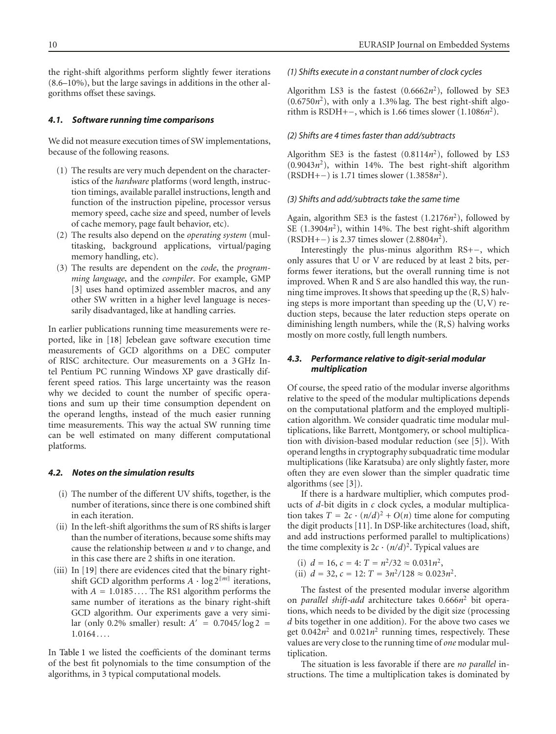the right-shift algorithms perform slightly fewer iterations (8.6–10%), but the large savings in additions in the other algorithms offset these savings.

# *4.1. Software running time comparisons*

We did not measure execution times of SW implementations, because of the following reasons.

- (1) The results are very much dependent on the characteristics of the *hardware* platforms (word length, instruction timings, available parallel instructions, length and function of the instruction pipeline, processor versus memory speed, cache size and speed, number of levels of cache memory, page fault behavior, etc).
- (2) The results also depend on the *operating system* (multitasking, background applications, virtual/paging memory handling, etc).
- (3) The results are dependent on the *code*, the *programming language*, and the *compiler*. For example, GMP [\[3](#page-11-3)] uses hand optimized assembler macros, and any other SW written in a higher level language is necessarily disadvantaged, like at handling carries.

In earlier publications running time measurements were reported, like in [\[18](#page-11-18)] Jebelean gave software execution time measurements of GCD algorithms on a DEC computer of RISC architecture. Our measurements on a 3 GHz Intel Pentium PC running Windows XP gave drastically different speed ratios. This large uncertainty was the reason why we decided to count the number of specific operations and sum up their time consumption dependent on the operand lengths, instead of the much easier running time measurements. This way the actual SW running time can be well estimated on many different computational platforms.

#### *4.2. Notes on the simulation results*

- (i) The number of the different UV shifts, together, is the number of iterations, since there is one combined shift in each iteration.
- (ii) In the left-shift algorithms the sum of RS shifts is larger than the number of iterations, because some shifts may cause the relationship between *u* and *v* to change, and in this case there are 2 shifts in one iteration.
- (iii) In [\[19](#page-11-19)] there are evidences cited that the binary rightshift GCD algorithm performs  $A \cdot \log 2^{\|m\|}$  iterations, with  $A = 1.0185...$  The RS1 algorithm performs the same number of iterations as the binary right-shift GCD algorithm. Our experiments gave a very similar (only 0.2% smaller) result:  $A' = 0.7045/\log 2$ 1*.*0164 *....*

In Table 1 we listed the coefficients of the dominant terms of the best fit polynomials to the time consumption of the algorithms, in 3 typical computational models.

# *(1) Shifts execute in a constant number of clock cycles*

Algorithm LS3 is the fastest (0*.*6662*n*2), followed by SE3  $(0.6750n^2)$ , with only a 1.3% lag. The best right-shift algorithm is RSDH+−, which is 1.66 times slower (1*.*1086*n*2).

# *(2) Shifts are 4 times faster than add/subtracts*

Algorithm SE3 is the fastest (0*.*8114*n*2), followed by LS3 (0*.*9043*n*2), within 14%. The best right-shift algorithm (RSDH+−) is 1.71 times slower (1*.*3858*n*2).

# *(3) Shifts and add/subtracts take the same time*

Again, algorithm SE3 is the fastest (1*.*2176*n*2), followed by SE (1*.*3904*n*2), within 14%. The best right-shift algorithm (RSDH+−) is 2.37 times slower (2*.*8804*n*2).

Interestingly the plus-minus algorithm RS+−, which only assures that U or V are reduced by at least 2 bits, performs fewer iterations, but the overall running time is not improved. When R and S are also handled this way, the running time improves. It shows that speeding up the (R, S) halving steps is more important than speeding up the  $(U, V)$  reduction steps, because the later reduction steps operate on diminishing length numbers, while the (R, S) halving works mostly on more costly, full length numbers.

# *4.3. Performance relative to digit-serial modular multiplication*

Of course, the speed ratio of the modular inverse algorithms relative to the speed of the modular multiplications depends on the computational platform and the employed multiplication algorithm. We consider quadratic time modular multiplications, like Barrett, Montgomery, or school multiplication with division-based modular reduction (see [\[5](#page-11-5)]). With operand lengths in cryptography subquadratic time modular multiplications (like Karatsuba) are only slightly faster, more often they are even slower than the simpler quadratic time algorithms (see [\[3\]](#page-11-3)).

If there is a hardware multiplier, which computes products of *d*-bit digits in *c* clock cycles, a modular multiplication takes  $T = 2c \cdot (n/d)^2 + O(n)$  time alone for computing the digit products [\[11\]](#page-11-11). In DSP-like architectures (load, shift, and add instructions performed parallel to multiplications) the time complexity is  $2c \cdot (n/d)^2$ . Typical values are

(i) 
$$
d = 16
$$
,  $c = 4$ :  $T = \frac{n^2}{32} \approx 0.031n^2$ ,  
(ii)  $d = 32$ ,  $c = 12$ :  $T = \frac{3n^2}{128} \approx 0.023n^2$ .

The fastest of the presented modular inverse algorithm on *parallel shift-add* architecture takes 0*.*666*n*<sup>2</sup> bit operations, which needs to be divided by the digit size (processing *d* bits together in one addition). For the above two cases we get  $0.042n^2$  and  $0.021n^2$  running times, respectively. These values are very close to the running time of *one* modular multiplication.

The situation is less favorable if there are *no parallel* instructions. The time a multiplication takes is dominated by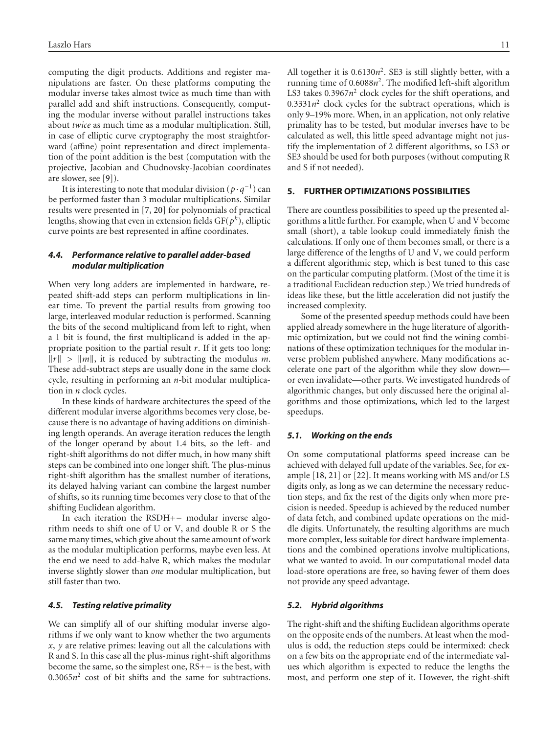computing the digit products. Additions and register manipulations are faster. On these platforms computing the modular inverse takes almost twice as much time than with parallel add and shift instructions. Consequently, computing the modular inverse without parallel instructions takes about *twice* as much time as a modular multiplication. Still, in case of elliptic curve cryptography the most straightforward (affine) point representation and direct implementation of the point addition is the best (computation with the projective, Jacobian and Chudnovsky-Jacobian coordinates are slower, see [\[9\]](#page-11-9)).

It is interesting to note that modular division ( $p \cdot q^{-1}$ ) can be performed faster than 3 modular multiplications. Similar results were presented in [\[7](#page-11-7), [20\]](#page-11-20) for polynomials of practical lengths, showing that even in extension fields  $GF(p^k)$ , elliptic curve points are best represented in affine coordinates.

# *4.4. Performance relative to parallel adder-based modular multiplication*

When very long adders are implemented in hardware, repeated shift-add steps can perform multiplications in linear time. To prevent the partial results from growing too large, interleaved modular reduction is performed. Scanning the bits of the second multiplicand from left to right, when a 1 bit is found, the first multiplicand is added in the appropriate position to the partial result *r*. If it gets too long:  $||r|| > ||m||$ , it is reduced by subtracting the modulus *m*. These add-subtract steps are usually done in the same clock cycle, resulting in performing an *n*-bit modular multiplication in *n* clock cycles.

In these kinds of hardware architectures the speed of the different modular inverse algorithms becomes very close, because there is no advantage of having additions on diminishing length operands. An average iteration reduces the length of the longer operand by about 1.4 bits, so the left- and right-shift algorithms do not differ much, in how many shift steps can be combined into one longer shift. The plus-minus right-shift algorithm has the smallest number of iterations, its delayed halving variant can combine the largest number of shifts, so its running time becomes very close to that of the shifting Euclidean algorithm.

In each iteration the RSDH+− modular inverse algorithm needs to shift one of U or V, and double R or S the same many times, which give about the same amount of work as the modular multiplication performs, maybe even less. At the end we need to add-halve R, which makes the modular inverse slightly slower than *one* modular multiplication, but still faster than two.

## *4.5. Testing relative primality*

We can simplify all of our shifting modular inverse algorithms if we only want to know whether the two arguments *x*, *y* are relative primes: leaving out all the calculations with R and S. In this case all the plus-minus right-shift algorithms become the same, so the simplest one, RS+− is the best, with 0*.*3065*n*<sup>2</sup> cost of bit shifts and the same for subtractions.

All together it is 0*.*6130*n*2. SE3 is still slightly better, with a running time of 0*.*6088*n*2. The modified left-shift algorithm LS3 takes 0*.*3967*n*<sup>2</sup> clock cycles for the shift operations, and  $0.3331n<sup>2</sup>$  clock cycles for the subtract operations, which is only 9–19% more. When, in an application, not only relative primality has to be tested, but modular inverses have to be calculated as well, this little speed advantage might not justify the implementation of 2 different algorithms, so LS3 or SE3 should be used for both purposes (without computing R and S if not needed).

## **5. FURTHER OPTIMIZATIONS POSSIBILITIES**

There are countless possibilities to speed up the presented algorithms a little further. For example, when U and V become small (short), a table lookup could immediately finish the calculations. If only one of them becomes small, or there is a large difference of the lengths of U and V, we could perform a different algorithmic step, which is best tuned to this case on the particular computing platform. (Most of the time it is a traditional Euclidean reduction step.) We tried hundreds of ideas like these, but the little acceleration did not justify the increased complexity.

Some of the presented speedup methods could have been applied already somewhere in the huge literature of algorithmic optimization, but we could not find the wining combinations of these optimization techniques for the modular inverse problem published anywhere. Many modifications accelerate one part of the algorithm while they slow down or even invalidate—other parts. We investigated hundreds of algorithmic changes, but only discussed here the original algorithms and those optimizations, which led to the largest speedups.

# *5.1. Working on the ends*

On some computational platforms speed increase can be achieved with delayed full update of the variables. See, for example [\[18](#page-11-18), [21](#page-12-0)] or [\[22\]](#page-12-1). It means working with MS and/or LS digits only, as long as we can determine the necessary reduction steps, and fix the rest of the digits only when more precision is needed. Speedup is achieved by the reduced number of data fetch, and combined update operations on the middle digits. Unfortunately, the resulting algorithms are much more complex, less suitable for direct hardware implementations and the combined operations involve multiplications, what we wanted to avoid. In our computational model data load-store operations are free, so having fewer of them does not provide any speed advantage.

#### *5.2. Hybrid algorithms*

The right-shift and the shifting Euclidean algorithms operate on the opposite ends of the numbers. At least when the modulus is odd, the reduction steps could be intermixed: check on a few bits on the appropriate end of the intermediate values which algorithm is expected to reduce the lengths the most, and perform one step of it. However, the right-shift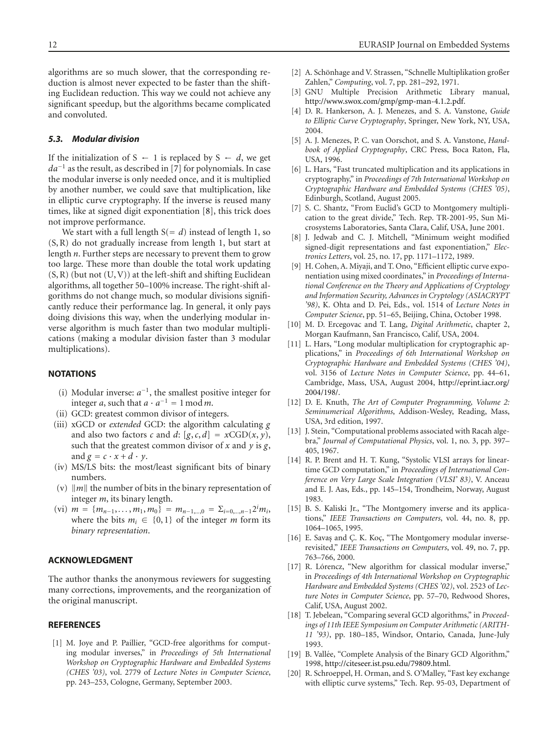algorithms are so much slower, that the corresponding reduction is almost never expected to be faster than the shifting Euclidean reduction. This way we could not achieve any significant speedup, but the algorithms became complicated and convoluted.

#### *5.3. Modular division*

If the initialization of S  $\leftarrow$  1 is replaced by S  $\leftarrow$  *d*, we get *da*<sup>−1</sup> as the result, as described in [\[7](#page-11-7)] for polynomials. In case the modular inverse is only needed once, and it is multiplied by another number, we could save that multiplication, like in elliptic curve cryptography. If the inverse is reused many times, like at signed digit exponentiation [\[8\]](#page-11-8), this trick does not improve performance.

We start with a full length  $S(= d)$  instead of length 1, so (S, R) do not gradually increase from length 1, but start at length *n*. Further steps are necessary to prevent them to grow too large. These more than double the total work updating  $(S, R)$  (but not  $(U, V)$ ) at the left-shift and shifting Euclidean algorithms, all together 50–100% increase. The right-shift algorithms do not change much, so modular divisions significantly reduce their performance lag. In general, it only pays doing divisions this way, when the underlying modular inverse algorithm is much faster than two modular multiplications (making a modular division faster than 3 modular multiplications).

#### **NOTATIONS**

- (i) Modular inverse: *a*−1, the smallest positive integer for integer *a*, such that  $a \cdot a^{-1} = 1 \mod m$ .
- (ii) GCD: greatest common divisor of integers.
- (iii) xGCD or *extended* GCD: the algorithm calculating *g* and also two factors *c* and *d*:  $[g, c, d] = xCGD(x, y)$ , such that the greatest common divisor of *x* and *y* is *g*, and  $g = c \cdot x + d \cdot y$ .
- (iv) MS/LS bits: the most/least significant bits of binary numbers.
- (v)  $\|m\|$  the number of bits in the binary representation of integer *m*, its binary length.
- $(wi)$  *m* = { $m_{n-1},...,m_1,m_0$ } =  $m_{n-1,...,0}$  =  $\Sigma_{i=0,...,n-1}2^i m_i$ , where the bits  $m_i \in \{0, 1\}$  of the integer *m* form its *binary representation*.

# **ACKNOWLEDGMENT**

The author thanks the anonymous reviewers for suggesting many corrections, improvements, and the reorganization of the original manuscript.

#### <span id="page-11-1"></span><span id="page-11-0"></span>**REFERENCES**

[1] M. Joye and P. Paillier, "GCD-free algorithms for computing modular inverses," in *Proceedings of 5th International Workshop on Cryptographic Hardware and Embedded Systems (CHES '03)*, vol. 2779 of *Lecture Notes in Computer Science*, pp. 243–253, Cologne, Germany, September 2003.

- <span id="page-11-2"></span>[2] A. Schönhage and V. Strassen, "Schnelle Multiplikation großer Zahlen," *Computing*, vol. 7, pp. 281–292, 1971.
- <span id="page-11-3"></span>[3] GNU Multiple Precision Arithmetic Library manual, [http://www.swox.com/gmp/gmp-man-4.1.2.pdf.](http://www.swox.com/gmp/gmp-man-4.1.2.pdf)
- <span id="page-11-4"></span>[4] D. R. Hankerson, A. J. Menezes, and S. A. Vanstone, *Guide to Elliptic Curve Cryptography*, Springer, New York, NY, USA, 2004.
- <span id="page-11-5"></span>[5] A. J. Menezes, P. C. van Oorschot, and S. A. Vanstone, *Handbook of Applied Cryptography*, CRC Press, Boca Raton, Fla, USA, 1996.
- <span id="page-11-6"></span>[6] L. Hars, "Fast truncated multiplication and its applications in cryptography," in *Proceedings of 7th International Workshop on Cryptographic Hardware and Embedded Systems (CHES '05)*, Edinburgh, Scotland, August 2005.
- <span id="page-11-7"></span>[7] S. C. Shantz, "From Euclid's GCD to Montgomery multiplication to the great divide," Tech. Rep. TR-2001-95, Sun Microsystems Laboratories, Santa Clara, Calif, USA, June 2001.
- <span id="page-11-8"></span>[8] J. Jedwab and C. J. Mitchell, "Minimum weight modified signed-digit representations and fast exponentiation," *Electronics Letters*, vol. 25, no. 17, pp. 1171–1172, 1989.
- <span id="page-11-9"></span>[9] H. Cohen, A. Miyaji, and T. Ono, "Efficient elliptic curve exponentiation using mixed coordinates," in *Proceedings of International Conference on the Theory and Applications of Cryptology and Information Security, Advances in Cryptology (ASIACRYPT '98)*, K. Ohta and D. Pei, Eds., vol. 1514 of *Lecture Notes in Computer Science*, pp. 51–65, Beijing, China, October 1998.
- <span id="page-11-10"></span>[10] M. D. Ercegovac and T. Lang, *Digital Arithmetic*, chapter 2, Morgan Kaufmann, San Francisco, Calif, USA, 2004.
- <span id="page-11-11"></span>[11] L. Hars, "Long modular multiplication for cryptographic applications," in *Proceedings of 6th International Workshop on Cryptographic Hardware and Embedded Systems (CHES '04)*, vol. 3156 of *Lecture Notes in Computer Science*, pp. 44–61, Cambridge, Mass, USA, August 2004, [http://eprint.iacr.org/](http://eprint.iacr.org/2004/198/) [2004/198/.](http://eprint.iacr.org/2004/198/)
- <span id="page-11-12"></span>[12] D. E. Knuth, *The Art of Computer Programming, Volume 2: Seminumerical Algorithms*, Addison-Wesley, Reading, Mass, USA, 3rd edition, 1997.
- <span id="page-11-13"></span>[13] J. Stein, "Computational problems associated with Racah algebra," *Journal of Computational Physics*, vol. 1, no. 3, pp. 397– 405, 1967.
- <span id="page-11-14"></span>[14] R. P. Brent and H. T. Kung, "Systolic VLSI arrays for lineartime GCD computation," in *Proceedings of International Conference on Very Large Scale Integration (VLSI' 83)*, V. Anceau and E. J. Aas, Eds., pp. 145–154, Trondheim, Norway, August 1983.
- <span id="page-11-15"></span>[15] B. S. Kaliski Jr., "The Montgomery inverse and its applications," *IEEE Transactions on Computers*, vol. 44, no. 8, pp. 1064–1065, 1995.
- <span id="page-11-16"></span>[16] E. Savaş and Ç. K. Koç, "The Montgomery modular inverserevisited," *IEEE Transactions on Computers*, vol. 49, no. 7, pp. 763–766, 2000.
- <span id="page-11-17"></span>[17] R. Lórencz, "New algorithm for classical modular inverse," in *Proceedings of 4th International Workshop on Cryptographic Hardware and Embedded Systems (CHES '02)*, vol. 2523 of *Lecture Notes in Computer Science*, pp. 57–70, Redwood Shores, Calif, USA, August 2002.
- <span id="page-11-18"></span>[18] T. Jebelean, "Comparing several GCD algorithms," in *Proceedings of 11th IEEE Symposium on Computer Arithmetic (ARITH-11 '93)*, pp. 180–185, Windsor, Ontario, Canada, June-July 1993.
- <span id="page-11-19"></span>[19] B. Vallée, "Complete Analysis of the Binary GCD Algorithm," 1998, [http://citeseer.ist.psu.edu/79809.html.](http://citeseer.ist.psu.edu/79809.html)
- <span id="page-11-20"></span>[20] R. Schroeppel, H. Orman, and S. O'Malley, "Fast key exchange with elliptic curve systems," Tech. Rep. 95-03, Department of